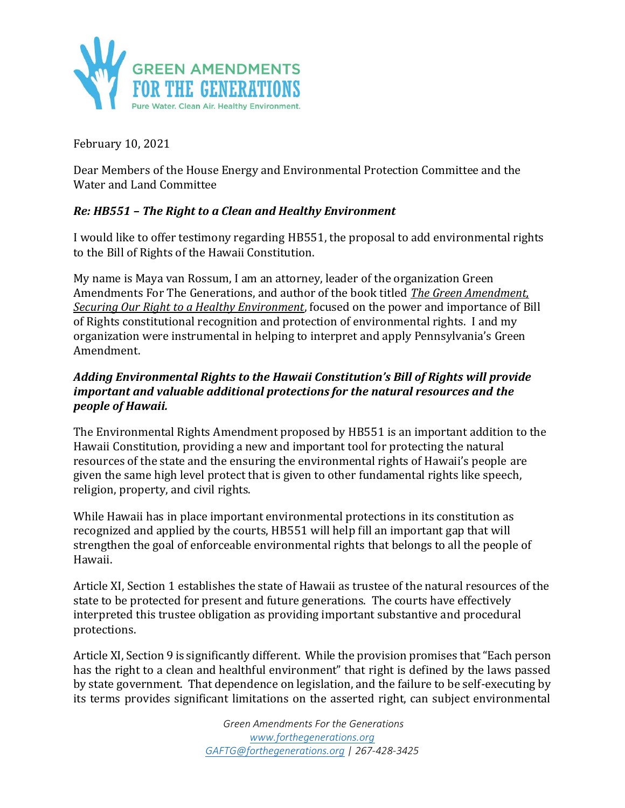

February 10, 2021

Dear Members of the House Energy and Environmental Protection Committee and the Water and Land Committee

# *Re: HB551 – The Right to a Clean and Healthy Environment*

I would like to offer testimony regarding HB551, the proposal to add environmental rights to the Bill of Rights of the Hawaii Constitution.

My name is Maya van Rossum, I am an attorney, leader of the organization Green Amendments For The Generations, and author of the book titled *The Green Amendment, Securing Our Right to a Healthy Environment*, focused on the power and importance of Bill of Rights constitutional recognition and protection of environmental rights. I and my organization were instrumental in helping to interpret and apply Pennsylvania's Green Amendment.

## *Adding Environmental Rights to the Hawaii Constitution's Bill of Rights will provide important and valuable additional protections for the natural resources and the people of Hawaii.*

The Environmental Rights Amendment proposed by HB551 is an important addition to the Hawaii Constitution, providing a new and important tool for protecting the natural resources of the state and the ensuring the environmental rights of Hawaii's people are given the same high level protect that is given to other fundamental rights like speech, religion, property, and civil rights.

While Hawaii has in place important environmental protections in its constitution as recognized and applied by the courts, HB551 will help fill an important gap that will strengthen the goal of enforceable environmental rights that belongs to all the people of Hawaii.

Article XI, Section 1 establishes the state of Hawaii as trustee of the natural resources of the state to be protected for present and future generations. The courts have effectively interpreted this trustee obligation as providing important substantive and procedural protections.

Article XI, Section 9 is significantly different. While the provision promises that "Each person has the right to a clean and healthful environment" that right is defined by the laws passed by state government. That dependence on legislation, and the failure to be self-executing by its terms provides significant limitations on the asserted right, can subject environmental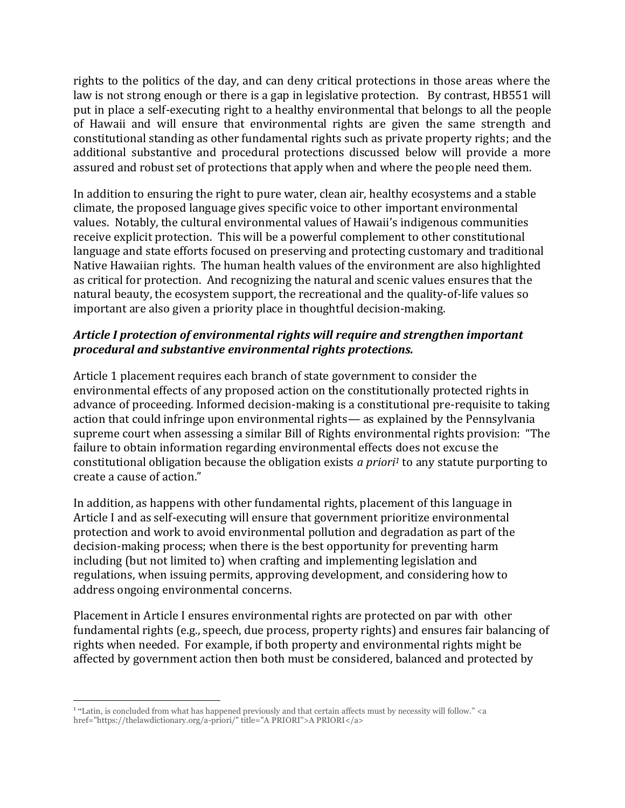rights to the politics of the day, and can deny critical protections in those areas where the law is not strong enough or there is a gap in legislative protection. By contrast, HB551 will put in place a self-executing right to a healthy environmental that belongs to all the people of Hawaii and will ensure that environmental rights are given the same strength and constitutional standing as other fundamental rights such as private property rights; and the additional substantive and procedural protections discussed below will provide a more assured and robust set of protections that apply when and where the people need them.

In addition to ensuring the right to pure water, clean air, healthy ecosystems and a stable climate, the proposed language gives specific voice to other important environmental values. Notably, the cultural environmental values of Hawaii's indigenous communities receive explicit protection. This will be a powerful complement to other constitutional language and state efforts focused on preserving and protecting customary and traditional Native Hawaiian rights. The human health values of the environment are also highlighted as critical for protection. And recognizing the natural and scenic values ensures that the natural beauty, the ecosystem support, the recreational and the quality-of-life values so important are also given a priority place in thoughtful decision-making.

## *Article I protection of environmental rights will require and strengthen important procedural and substantive environmental rights protections.*

Article 1 placement requires each branch of state government to consider the environmental effects of any proposed action on the constitutionally protected rights in advance of proceeding. Informed decision-making is a constitutional pre-requisite to taking action that could infringe upon environmental rights— as explained by the Pennsylvania supreme court when assessing a similar Bill of Rights environmental rights provision: "The failure to obtain information regarding environmental effects does not excuse the constitutional obligation because the obligation exists *a priori<sup>1</sup>* to any statute purporting to create a cause of action."

In addition, as happens with other fundamental rights, placement of this language in Article I and as self-executing will ensure that government prioritize environmental protection and work to avoid environmental pollution and degradation as part of the decision-making process; when there is the best opportunity for preventing harm including (but not limited to) when crafting and implementing legislation and regulations, when issuing permits, approving development, and considering how to address ongoing environmental concerns.

Placement in Article I ensures environmental rights are protected on par with other fundamental rights (e.g., speech, due process, property rights) and ensures fair balancing of rights when needed. For example, if both property and environmental rights might be affected by government action then both must be considered, balanced and protected by

<sup>&</sup>lt;sup>1</sup> "Latin, is concluded from what has happened previously and that certain affects must by necessity will follow." <a href="https://thelawdictionary.org/a-priori/" title="A PRIORI">A PRIORI</a>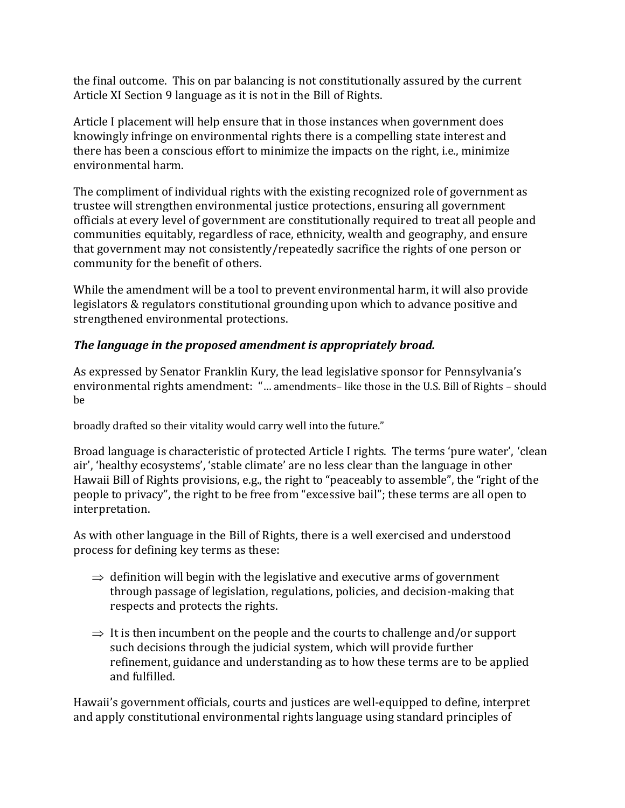the final outcome. This on par balancing is not constitutionally assured by the current Article XI Section 9 language as it is not in the Bill of Rights.

Article I placement will help ensure that in those instances when government does knowingly infringe on environmental rights there is a compelling state interest and there has been a conscious effort to minimize the impacts on the right, i.e., minimize environmental harm.

The compliment of individual rights with the existing recognized role of government as trustee will strengthen environmental justice protections, ensuring all government officials at every level of government are constitutionally required to treat all people and communities equitably, regardless of race, ethnicity, wealth and geography, and ensure that government may not consistently/repeatedly sacrifice the rights of one person or community for the benefit of others.

While the amendment will be a tool to prevent environmental harm, it will also provide legislators & regulators constitutional grounding upon which to advance positive and strengthened environmental protections.

# *The language in the proposed amendment is appropriately broad.*

As expressed by Senator Franklin Kury, the lead legislative sponsor for Pennsylvania's environmental rights amendment: "… amendments– like those in the U.S. Bill of Rights – should be

broadly drafted so their vitality would carry well into the future."

Broad language is characteristic of protected Article I rights. The terms 'pure water', 'clean air', 'healthy ecosystems', 'stable climate' are no less clear than the language in other Hawaii Bill of Rights provisions, e.g., the right to "peaceably to assemble", the "right of the people to privacy", the right to be free from "excessive bail"; these terms are all open to interpretation.

As with other language in the Bill of Rights, there is a well exercised and understood process for defining key terms as these:

- $\Rightarrow$  definition will begin with the legislative and executive arms of government through passage of legislation, regulations, policies, and decision-making that respects and protects the rights.
- $\Rightarrow$  It is then incumbent on the people and the courts to challenge and/or support such decisions through the judicial system, which will provide further refinement, guidance and understanding as to how these terms are to be applied and fulfilled.

Hawaii's government officials, courts and justices are well-equipped to define, interpret and apply constitutional environmental rights language using standard principles of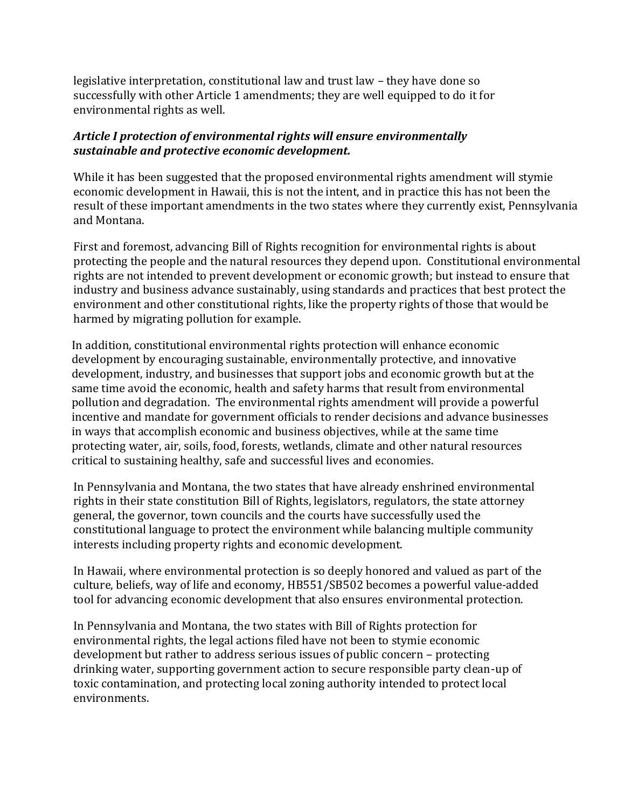legislative interpretation, constitutional law and trust law – they have done so successfully with other Article 1 amendments; they are well equipped to do it for environmental rights as well.

## *Article I protection of environmental rights will ensure environmentally sustainable and protective economic development.*

While it has been suggested that the proposed environmental rights amendment will stymie economic development in Hawaii, this is not the intent, and in practice this has not been the result of these important amendments in the two states where they currently exist, Pennsylvania and Montana.

First and foremost, advancing Bill of Rights recognition for environmental rights is about protecting the people and the natural resources they depend upon. Constitutional environmental rights are not intended to prevent development or economic growth; but instead to ensure that industry and business advance sustainably, using standards and practices that best protect the environment and other constitutional rights, like the property rights of those that would be harmed by migrating pollution for example.

In addition, constitutional environmental rights protection will enhance economic development by encouraging sustainable, environmentally protective, and innovative development, industry, and businesses that support jobs and economic growth but at the same time avoid the economic, health and safety harms that result from environmental pollution and degradation. The environmental rights amendment will provide a powerful incentive and mandate for government officials to render decisions and advance businesses in ways that accomplish economic and business objectives, while at the same time protecting water, air, soils, food, forests, wetlands, climate and other natural resources critical to sustaining healthy, safe and successful lives and economies.

In Pennsylvania and Montana, the two states that have already enshrined environmental rights in their state constitution Bill of Rights, legislators, regulators, the state attorney general, the governor, town councils and the courts have successfully used the constitutional language to protect the environment while balancing multiple community interests including property rights and economic development.

In Hawaii, where environmental protection is so deeply honored and valued as part of the culture, beliefs, way of life and economy, HB551/SB502 becomes a powerful value-added tool for advancing economic development that also ensures environmental protection.

In Pennsylvania and Montana, the two states with Bill of Rights protection for environmental rights, the legal actions filed have not been to stymie economic development but rather to address serious issues of public concern – protecting drinking water, supporting government action to secure responsible party clean-up of toxic contamination, and protecting local zoning authority intended to protect local environments.